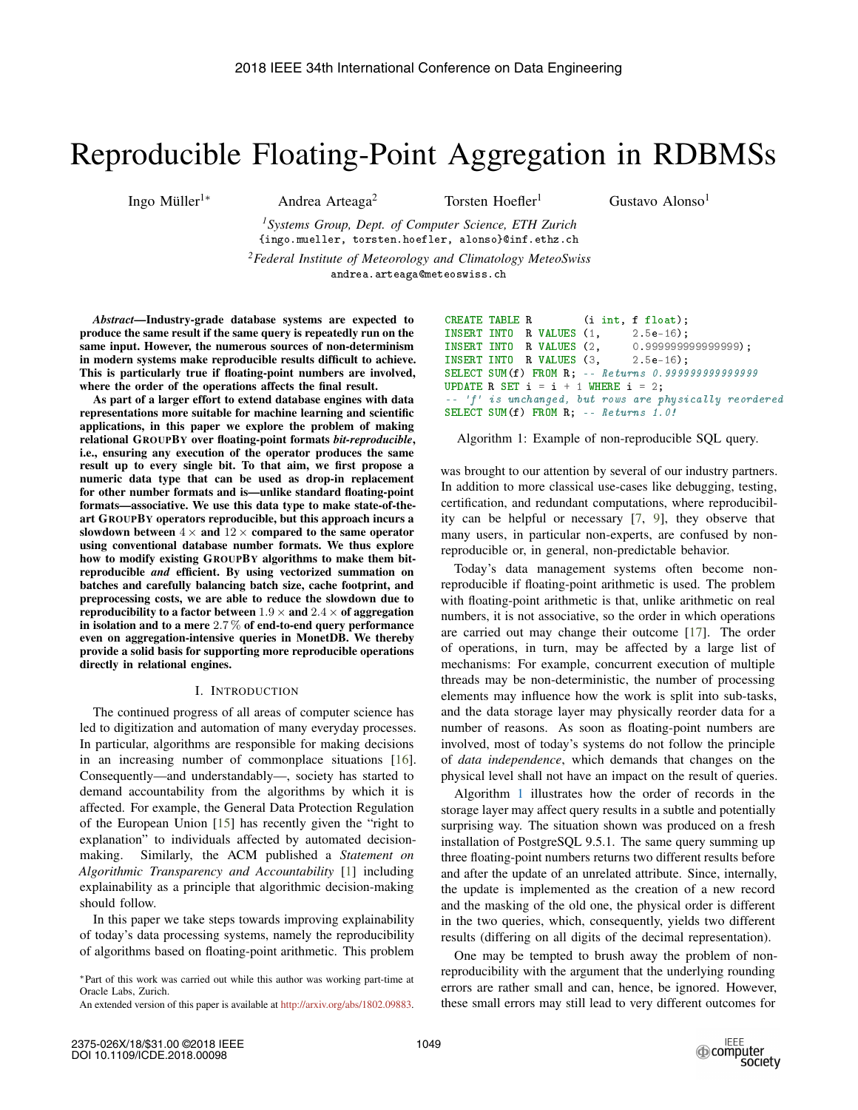# Reproducible Floating-Point Aggregation in RDBMSs

Ingo Müller<sup>1∗</sup> Andrea Arteaga<sup>2</sup> Torsten Hoefler<sup>1</sup> Gustavo Alonso<sup>1</sup>

*1Systems Group, Dept. of Computer Science, ETH Zurich* {ingo.mueller, torsten.hoefler, alonso}@inf.ethz.ch

*2Federal Institute of Meteorology and Climatology MeteoSwiss* andrea.arteaga@meteoswiss.ch

*Abstract*—Industry-grade database systems are expected to produce the same result if the same query is repeatedly run on the same input. However, the numerous sources of non-determinism in modern systems make reproducible results difficult to achieve. This is particularly true if floating-point numbers are involved, where the order of the operations affects the final result.

As part of a larger effort to extend database engines with data representations more suitable for machine learning and scientific applications, in this paper we explore the problem of making relational GROUPBY over floating-point formats *bit-reproducible*, i.e., ensuring any execution of the operator produces the same result up to every single bit. To that aim, we first propose a numeric data type that can be used as drop-in replacement for other number formats and is—unlike standard floating-point formats—associative. We use this data type to make state-of-theart GROUPBY operators reproducible, but this approach incurs a slowdown between  $4 \times$  and  $12 \times$  compared to the same operator using conventional database number formats. We thus explore how to modify existing GROUPBY algorithms to make them bitreproducible *and* efficient. By using vectorized summation on batches and carefully balancing batch size, cache footprint, and preprocessing costs, we are able to reduce the slowdown due to reproducibility to a factor between  $1.9 \times$  and  $2.4 \times$  of aggregation in isolation and to a mere  $2.7\%$  of end-to-end query performance even on aggregation-intensive queries in MonetDB. We thereby provide a solid basis for supporting more reproducible operations directly in relational engines.

#### I. INTRODUCTION

The continued progress of all areas of computer science has led to digitization and automation of many everyday processes. In particular, algorithms are responsible for making decisions in an increasing number of commonplace situations [16]. Consequently—and understandably—, society has started to demand accountability from the algorithms by which it is affected. For example, the General Data Protection Regulation of the European Union [15] has recently given the "right to explanation" to individuals affected by automated decisionmaking. Similarly, the ACM published a *Statement on Algorithmic Transparency and Accountability* [1] including explainability as a principle that algorithmic decision-making should follow.

In this paper we take steps towards improving explainability of today's data processing systems, namely the reproducibility of algorithms based on floating-point arithmetic. This problem

| SELECT SUM(f) FROM R; -- Returns 0.9999999999999999    |
|--------------------------------------------------------|
|                                                        |
| -- 'f' is unchanged, but rows are physically reordered |
|                                                        |
|                                                        |

Algorithm 1: Example of non-reproducible SQL query.

was brought to our attention by several of our industry partners. In addition to more classical use-cases like debugging, testing, certification, and redundant computations, where reproducibility can be helpful or necessary [7, 9], they observe that many users, in particular non-experts, are confused by nonreproducible or, in general, non-predictable behavior.

Today's data management systems often become nonreproducible if floating-point arithmetic is used. The problem with floating-point arithmetic is that, unlike arithmetic on real numbers, it is not associative, so the order in which operations are carried out may change their outcome [17]. The order of operations, in turn, may be affected by a large list of mechanisms: For example, concurrent execution of multiple threads may be non-deterministic, the number of processing elements may influence how the work is split into sub-tasks, and the data storage layer may physically reorder data for a number of reasons. As soon as floating-point numbers are involved, most of today's systems do not follow the principle of *data independence*, which demands that changes on the physical level shall not have an impact on the result of queries.

Algorithm 1 illustrates how the order of records in the storage layer may affect query results in a subtle and potentially surprising way. The situation shown was produced on a fresh installation of PostgreSQL 9.5.1. The same query summing up three floating-point numbers returns two different results before and after the update of an unrelated attribute. Since, internally, the update is implemented as the creation of a new record and the masking of the old one, the physical order is different in the two queries, which, consequently, yields two different results (differing on all digits of the decimal representation).

One may be tempted to brush away the problem of nonreproducibility with the argument that the underlying rounding errors are rather small and can, hence, be ignored. However, these small errors may still lead to very different outcomes for

<sup>∗</sup>Part of this work was carried out while this author was working part-time at Oracle Labs, Zurich.

An extended version of this paper is available at http://arxiv.org/abs/1802.09883.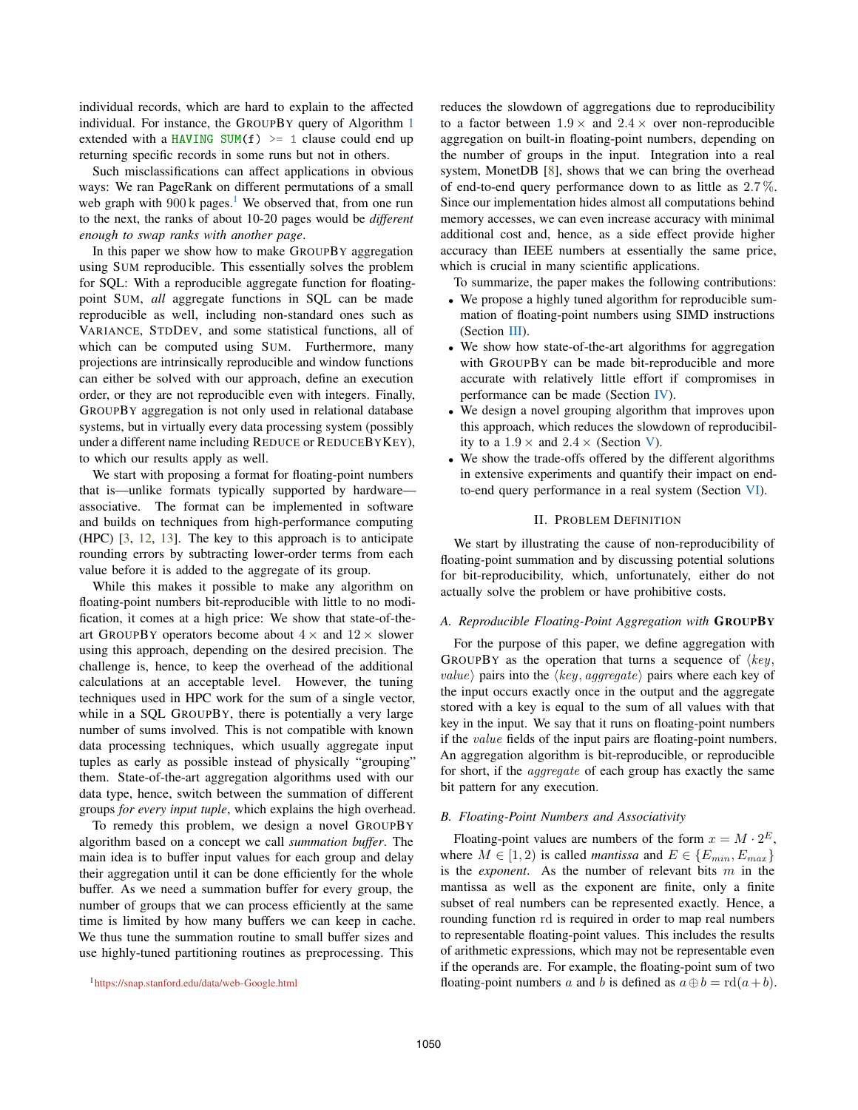individual records, which are hard to explain to the affected individual. For instance, the GROUPBY query of Algorithm 1 extended with a HAVING SUM(f)  $>=$  1 clause could end up returning specific records in some runs but not in others.

Such misclassifications can affect applications in obvious ways: We ran PageRank on different permutations of a small web graph with  $900 \text{ k pages}$ .<sup>1</sup> We observed that, from one run to the next, the ranks of about 10-20 pages would be *different enough to swap ranks with another page*.

In this paper we show how to make GROUPBY aggregation using SUM reproducible. This essentially solves the problem for SQL: With a reproducible aggregate function for floatingpoint SUM, *all* aggregate functions in SQL can be made reproducible as well, including non-standard ones such as VARIANCE, STDDEV, and some statistical functions, all of which can be computed using SUM. Furthermore, many projections are intrinsically reproducible and window functions can either be solved with our approach, define an execution order, or they are not reproducible even with integers. Finally, GROUPBY aggregation is not only used in relational database systems, but in virtually every data processing system (possibly under a different name including REDUCE or REDUCEBYKEY), to which our results apply as well.

We start with proposing a format for floating-point numbers that is—unlike formats typically supported by hardware associative. The format can be implemented in software and builds on techniques from high-performance computing (HPC) [3, 12, 13]. The key to this approach is to anticipate rounding errors by subtracting lower-order terms from each value before it is added to the aggregate of its group.

While this makes it possible to make any algorithm on floating-point numbers bit-reproducible with little to no modification, it comes at a high price: We show that state-of-theart GROUPBY operators become about  $4 \times$  and  $12 \times$  slower using this approach, depending on the desired precision. The challenge is, hence, to keep the overhead of the additional calculations at an acceptable level. However, the tuning techniques used in HPC work for the sum of a single vector, while in a SQL GROUPBY, there is potentially a very large number of sums involved. This is not compatible with known data processing techniques, which usually aggregate input tuples as early as possible instead of physically "grouping" them. State-of-the-art aggregation algorithms used with our data type, hence, switch between the summation of different groups *for every input tuple*, which explains the high overhead.

To remedy this problem, we design a novel GROUPBY algorithm based on a concept we call *summation buffer*. The main idea is to buffer input values for each group and delay their aggregation until it can be done efficiently for the whole buffer. As we need a summation buffer for every group, the number of groups that we can process efficiently at the same time is limited by how many buffers we can keep in cache. We thus tune the summation routine to small buffer sizes and use highly-tuned partitioning routines as preprocessing. This

reduces the slowdown of aggregations due to reproducibility to a factor between  $1.9 \times$  and  $2.4 \times$  over non-reproducible aggregation on built-in floating-point numbers, depending on the number of groups in the input. Integration into a real system, MonetDB [8], shows that we can bring the overhead of end-to-end query performance down to as little as 2.7 %. Since our implementation hides almost all computations behind memory accesses, we can even increase accuracy with minimal additional cost and, hence, as a side effect provide higher accuracy than IEEE numbers at essentially the same price, which is crucial in many scientific applications.

To summarize, the paper makes the following contributions:

- We propose a highly tuned algorithm for reproducible summation of floating-point numbers using SIMD instructions (Section III).
- We show how state-of-the-art algorithms for aggregation with GROUPBY can be made bit-reproducible and more accurate with relatively little effort if compromises in performance can be made (Section IV).
- We design a novel grouping algorithm that improves upon this approach, which reduces the slowdown of reproducibility to a  $1.9 \times$  and  $2.4 \times$  (Section V).
- We show the trade-offs offered by the different algorithms in extensive experiments and quantify their impact on endto-end query performance in a real system (Section VI).

# II. PROBLEM DEFINITION

We start by illustrating the cause of non-reproducibility of floating-point summation and by discussing potential solutions for bit-reproducibility, which, unfortunately, either do not actually solve the problem or have prohibitive costs.

# *A. Reproducible Floating-Point Aggregation with* GROUPBY

For the purpose of this paper, we define aggregation with GROUPBY as the operation that turns a sequence of  $\langle key, \rangle$  pairs into the  $\langle key, \rangle$  garrent  $\epsilon$  and pairs where each key of *value*) pairs into the  $\langle key, aggregate \rangle$  pairs where each key of the input occurs exactly once in the output and the aggregate the input occurs exactly once in the output and the aggregate stored with a key is equal to the sum of all values with that key in the input. We say that it runs on floating-point numbers if the *value* fields of the input pairs are floating-point numbers. An aggregation algorithm is bit-reproducible, or reproducible for short, if the *aggregate* of each group has exactly the same bit pattern for any execution.

# *B. Floating-Point Numbers and Associativity*

Floating-point values are numbers of the form  $x = M \cdot 2^E$ , where  $M \in [1, 2)$  is called *mantissa* and  $E \in \{E_{min}, E_{max}\}\$ is the *exponent*. As the number of relevant bits m in the mantissa as well as the exponent are finite, only a finite subset of real numbers can be represented exactly. Hence, a rounding function rd is required in order to map real numbers to representable floating-point values. This includes the results of arithmetic expressions, which may not be representable even if the operands are. For example, the floating-point sum of two floating-point numbers a and b is defined as  $a \oplus b = \text{rd}(a+b)$ .

<sup>1</sup>https://snap.stanford.edu/data/web-Google.html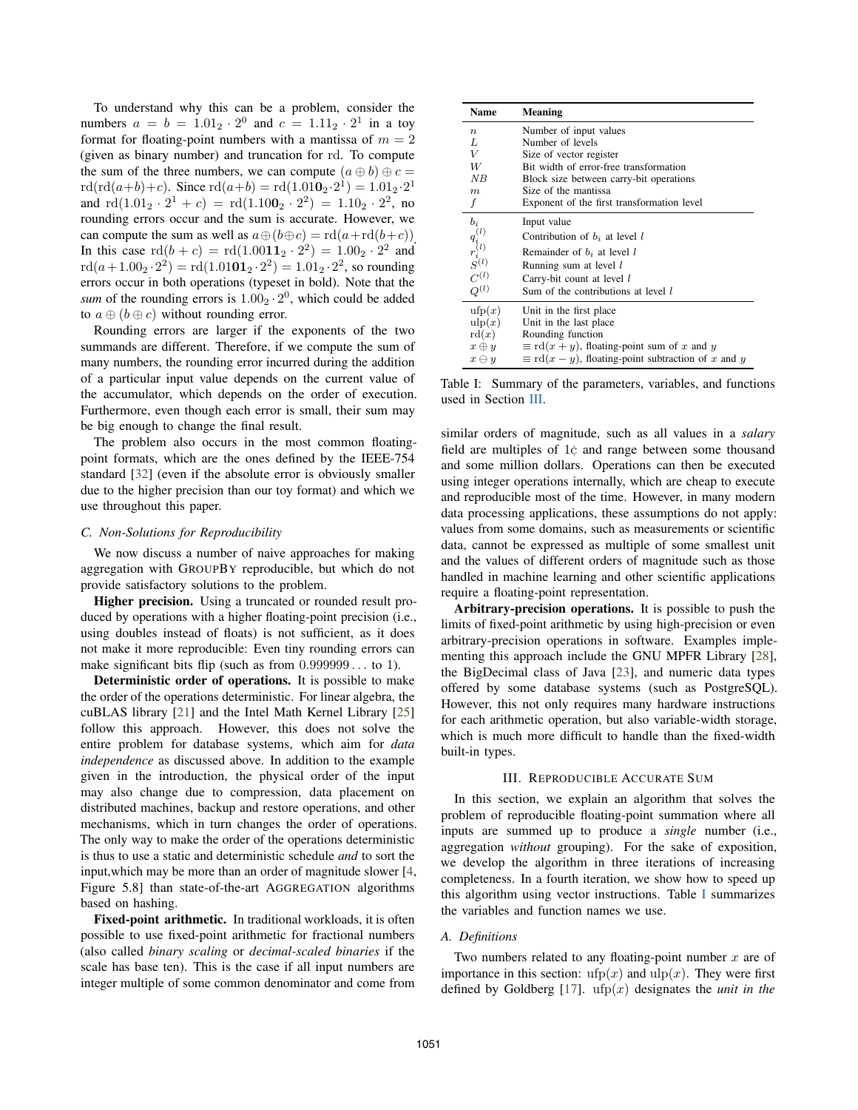To understand why this can be a problem, consider the numbers  $a = b = 1.01_2 \cdot 2^0$  and  $c = 1.11_2 \cdot 2^1$  in a toy format for floating-point numbers with a mantissa of  $m = 2$ (given as binary number) and truncation for rd. To compute the sum of the three numbers, we can compute  $(a \oplus b) \oplus c =$  $\text{rd}(\text{rd}(a+b)+c)$ . Since  $\text{rd}(a+b) = \text{rd}(1.010_2 \cdot 2^1) = 1.01_2 \cdot 2^1$ and  $\text{rd}(1.01_2 \cdot 2^1 + c) = \text{rd}(1.100_2 \cdot 2^2) = 1.10_2 \cdot 2^2$ , no rounding errors occur and the sum is accurate. However, we can compute the sum as well as  $a \oplus (b \oplus c) = \text{rd}(a + \text{rd}(b + c))$ . In this case  $\text{rd}(b + c) = \text{rd}(1.0011_2 \cdot 2^2) = 1.00_2 \cdot 2^2$  and  $\text{rd}(a + 1.00_2 \cdot 2^2) = \text{rd}(1.0101_2 \cdot 2^2) = 1.01_2 \cdot 2^2$ , so rounding errors occur in both operations (typeset in bold). Note that the *sum* of the rounding errors is  $1.00<sub>2</sub> \cdot 2<sup>0</sup>$ , which could be added to  $a \oplus (b \oplus c)$  without rounding error.

Rounding errors are larger if the exponents of the two summands are different. Therefore, if we compute the sum of many numbers, the rounding error incurred during the addition of a particular input value depends on the current value of the accumulator, which depends on the order of execution. Furthermore, even though each error is small, their sum may be big enough to change the final result.

The problem also occurs in the most common floatingpoint formats, which are the ones defined by the IEEE-754 standard [32] (even if the absolute error is obviously smaller due to the higher precision than our toy format) and which we use throughout this paper.

# *C. Non-Solutions for Reproducibility*

We now discuss a number of naive approaches for making aggregation with GROUPBY reproducible, but which do not provide satisfactory solutions to the problem.

Higher precision. Using a truncated or rounded result produced by operations with a higher floating-point precision (i.e., using doubles instead of floats) is not sufficient, as it does not make it more reproducible: Even tiny rounding errors can make significant bits flip (such as from  $0.999999...$  to 1).

Deterministic order of operations. It is possible to make the order of the operations deterministic. For linear algebra, the cuBLAS library [21] and the Intel Math Kernel Library [25] follow this approach. However, this does not solve the entire problem for database systems, which aim for *data independence* as discussed above. In addition to the example given in the introduction, the physical order of the input may also change due to compression, data placement on distributed machines, backup and restore operations, and other mechanisms, which in turn changes the order of operations. The only way to make the order of the operations deterministic is thus to use a static and deterministic schedule *and* to sort the input,which may be more than an order of magnitude slower [4, Figure 5.8] than state-of-the-art AGGREGATION algorithms based on hashing.

Fixed-point arithmetic. In traditional workloads, it is often possible to use fixed-point arithmetic for fractional numbers (also called *binary scaling* or *decimal-scaled binaries* if the scale has base ten). This is the case if all input numbers are integer multiple of some common denominator and come from

| Name                                                            | <b>Meaning</b>                                            |
|-----------------------------------------------------------------|-----------------------------------------------------------|
| $\boldsymbol{n}$                                                | Number of input values                                    |
| L                                                               | Number of levels                                          |
| V                                                               | Size of vector register                                   |
| W                                                               | Bit width of error-free transformation                    |
| NΒ                                                              | Block size between carry-bit operations                   |
| $\boldsymbol{m}$                                                | Size of the mantissa                                      |
| f                                                               | Exponent of the first transformation level                |
| $b_i$                                                           | Input value                                               |
| $\begin{matrix} q_i^{(l)} \\ r_i^{(l)} \\ S^{(l)} \end{matrix}$ | Contribution of $b_i$ at level l                          |
|                                                                 | Remainder of $b_i$ at level l                             |
|                                                                 | Running sum at level l                                    |
| $C^{(l)}$                                                       | Carry-bit count at level l                                |
| $Q^{(l)}$                                                       | Sum of the contributions at level l.                      |
| $\text{ufp}(x)$                                                 | Unit in the first place                                   |
| $\text{ulp}(x)$                                                 | Unit in the last place                                    |
| rd(x)                                                           | Rounding function                                         |
| $x \oplus y$                                                    | $\equiv$ rd(x + y), floating-point sum of x and y         |
| $x \ominus y$                                                   | $\equiv$ rd(x – y), floating-point subtraction of x and y |

Table I: Summary of the parameters, variables, and functions used in Section III.

similar orders of magnitude, such as all values in a *salary* field are multiples of 1¢ and range between some thousand and some million dollars. Operations can then be executed using integer operations internally, which are cheap to execute and reproducible most of the time. However, in many modern data processing applications, these assumptions do not apply: values from some domains, such as measurements or scientific data, cannot be expressed as multiple of some smallest unit and the values of different orders of magnitude such as those handled in machine learning and other scientific applications require a floating-point representation.

Arbitrary-precision operations. It is possible to push the limits of fixed-point arithmetic by using high-precision or even arbitrary-precision operations in software. Examples implementing this approach include the GNU MPFR Library [28], the BigDecimal class of Java [23], and numeric data types offered by some database systems (such as PostgreSQL). However, this not only requires many hardware instructions for each arithmetic operation, but also variable-width storage, which is much more difficult to handle than the fixed-width built-in types.

# III. REPRODUCIBLE ACCURATE SUM

In this section, we explain an algorithm that solves the problem of reproducible floating-point summation where all inputs are summed up to produce a *single* number (i.e., aggregation *without* grouping). For the sake of exposition, we develop the algorithm in three iterations of increasing completeness. In a fourth iteration, we show how to speed up this algorithm using vector instructions. Table I summarizes the variables and function names we use.

# *A. Definitions*

Two numbers related to any floating-point number  $x$  are of importance in this section:  $\mathrm{ufp}(x)$  and  $\mathrm{ulp}(x)$ . They were first defined by Goldberg [17]. ufp(x) designates the *unit in the*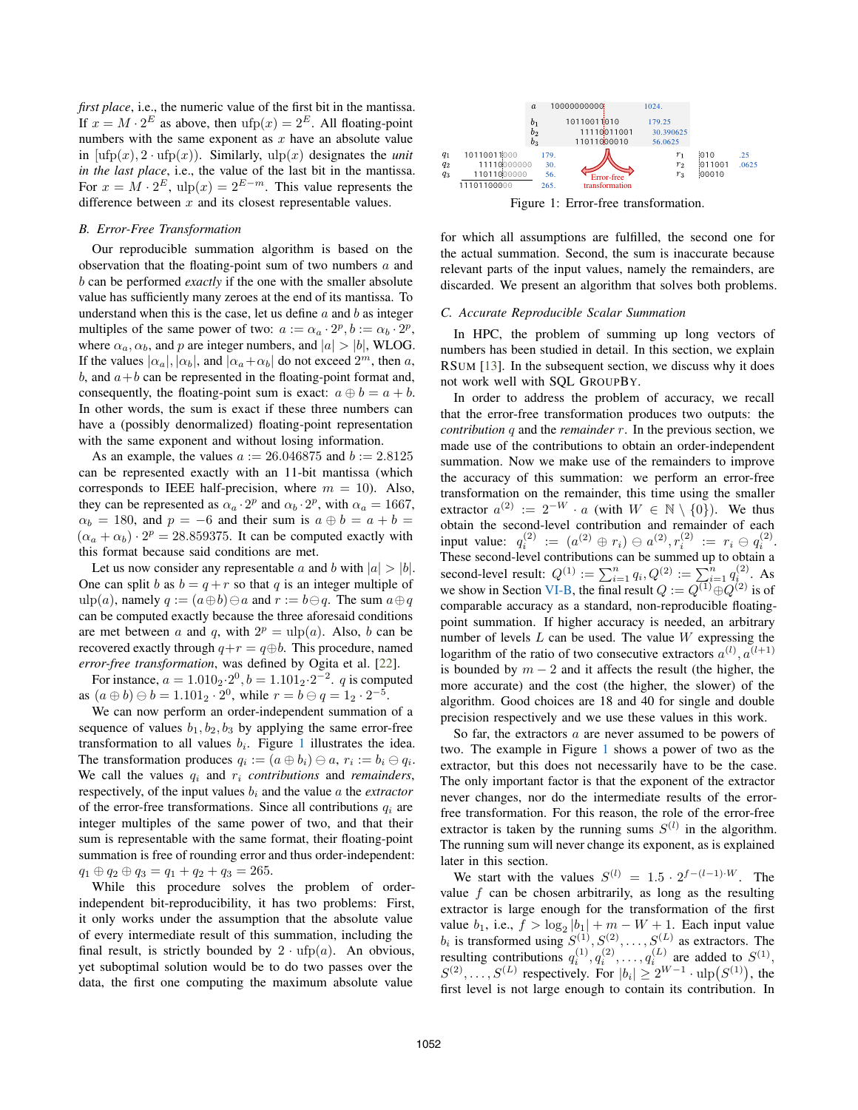*first place*, i.e., the numeric value of the first bit in the mantissa. If  $x = M \cdot 2^E$  as above, then  $\mathrm{ufp}(x) = 2^E$ . All floating-point numbers with the same exponent as  $x$  have an absolute value in  $[\text{ufp}(x), 2 \cdot \text{ufp}(x)]$ . Similarly,  $\text{ulp}(x)$  designates the *unit in the last place*, i.e., the value of the last bit in the mantissa. For  $x = M \cdot 2^E$ ,  $\text{ulp}(x) = 2^{E-m}$ . This value represents the difference between  $x$  and its closest representable values.

# *B. Error-Free Transformation*

Our reproducible summation algorithm is based on the observation that the floating-point sum of two numbers  $a$  and b can be performed *exactly* if the one with the smaller absolute value has sufficiently many zeroes at the end of its mantissa. To understand when this is the case, let us define  $a$  and  $b$  as integer multiples of the same power of two:  $a := \alpha_a \cdot 2^p$ ,  $b := \alpha_b \cdot 2^p$ , where  $\alpha_a, \alpha_b$ , and p are integer numbers, and  $|a| > |b|$ , WLOG. If the values  $|\alpha_a|, |\alpha_b|$ , and  $|\alpha_a + \alpha_b|$  do not exceed  $2^m$ , then a, b, and  $a + b$  can be represented in the floating-point format and, consequently, the floating-point sum is exact:  $a \oplus b = a + b$ . In other words, the sum is exact if these three numbers can have a (possibly denormalized) floating-point representation with the same exponent and without losing information.

As an example, the values  $a := 26.046875$  and  $b := 2.8125$ can be represented exactly with an 11-bit mantissa (which corresponds to IEEE half-precision, where  $m = 10$ ). Also, they can be represented as  $\alpha_a \cdot 2^p$  and  $\alpha_b \cdot 2^p$ , with  $\alpha_a = 1667$ ,  $\alpha_b = 180$ , and  $p = -6$  and their sum is  $a \oplus b = a + b =$  $(\alpha_a + \alpha_b) \cdot 2^p = 28.859375$ . It can be computed exactly with this format because said conditions are met.

Let us now consider any representable a and b with  $|a| > |b|$ . One can split b as  $b = q + r$  so that q is an integer multiple of ulp(a), namely  $q := (a \oplus b) \ominus a$  and  $r := b \ominus q$ . The sum  $a \oplus q$ can be computed exactly because the three aforesaid conditions are met between a and q, with  $2^p = \text{ulp}(a)$ . Also, b can be recovered exactly through  $q+r = q \oplus b$ . This procedure, named *error-free transformation*, was defined by Ogita et al. [22].

For instance,  $a = 1.010_2 \cdot 2^0$ ,  $b = 1.101_2 \cdot 2^{-2}$ . q is computed as  $(a \oplus b) \oplus b = 1.101_2 \cdot 2^0$ , while  $r = b \oplus q = 1_2 \cdot 2^{-5}$ .

We can now perform an order-independent summation of a sequence of values  $b_1$ ,  $b_2$ ,  $b_3$  by applying the same error-free transformation to all values  $b_i$ . Figure 1 illustrates the idea. The transformation produces  $q_i := (a \oplus b_i) \ominus a, r_i := b_i \ominus q_i$ . We call the values  $q_i$  and  $r_i$  *contributions* and *remainders*, respectively, of the input values  $b_i$  and the value  $a$  the *extractor* of the error-free transformations. Since all contributions  $q_i$  are integer multiples of the same power of two, and that their sum is representable with the same format, their floating-point summation is free of rounding error and thus order-independent:  $q_1 \oplus q_2 \oplus q_3 = q_1 + q_2 + q_3 = 265.$ 

While this procedure solves the problem of orderindependent bit-reproducibility, it has two problems: First, it only works under the assumption that the absolute value of every intermediate result of this summation, including the final result, is strictly bounded by  $2 \cdot \text{ufp}(a)$ . An obvious, yet suboptimal solution would be to do two passes over the data, the first one computing the maximum absolute value



Figure 1: Error-free transformation.

for which all assumptions are fulfilled, the second one for the actual summation. Second, the sum is inaccurate because relevant parts of the input values, namely the remainders, are discarded. We present an algorithm that solves both problems.

#### *C. Accurate Reproducible Scalar Summation*

In HPC, the problem of summing up long vectors of numbers has been studied in detail. In this section, we explain RSUM [13]. In the subsequent section, we discuss why it does not work well with SQL GROUPBY.

In order to address the problem of accuracy, we recall that the error-free transformation produces two outputs: the *contribution* q and the *remainder* r. In the previous section, we made use of the contributions to obtain an order-independent summation. Now we make use of the remainders to improve the accuracy of this summation: we perform an error-free transformation on the remainder, this time using the smaller extractor  $a^{(2)} := 2^{-W} \cdot a$  (with  $W \in \mathbb{N} \setminus \{0\}$ ). We thus obtain the second-level contribution and remainder of each input value:  $q_i^{(2)} := (a^{(2)} \oplus r_i) \oplus a^{(2)}, r_i^{(2)} := r_i \oplus q_i^{(2)}$ . These second-level contributions can be summed up to obtain a second-level result:  $Q^{(1)} := \sum_{i=1}^n q_i, Q^{(2)} := \sum_{i=1}^n q_{i-1}^{(2)}$ . As we show in Section VI-B, the final result  $Q := Q^{(1)} \oplus Q^{(2)}$  is of comparable accuracy as a standard, non-reproducible floatingpoint summation. If higher accuracy is needed, an arbitrary number of levels  $L$  can be used. The value  $W$  expressing the logarithm of the ratio of two consecutive extractors  $a^{(l)}$ ,  $a^{(l+1)}$ is bounded by  $m - 2$  and it affects the result (the higher, the more accurate) and the cost (the higher, the slower) of the algorithm. Good choices are 18 and 40 for single and double precision respectively and we use these values in this work.

So far, the extractors  $a$  are never assumed to be powers of two. The example in Figure 1 shows a power of two as the extractor, but this does not necessarily have to be the case. The only important factor is that the exponent of the extractor never changes, nor do the intermediate results of the errorfree transformation. For this reason, the role of the error-free extractor is taken by the running sums  $S^{(l)}$  in the algorithm. The running sum will never change its exponent, as is explained later in this section.

We start with the values  $S^{(l)} = 1.5 \cdot 2^{f-(l-1)\cdot W}$ . The value  $f$  can be chosen arbitrarily, as long as the resulting extractor is large enough for the transformation of the first value  $b_1$ , i.e.,  $f > \log_2 |b_1| + m - W + 1$ . Each input value  $b_i$  is transformed using  $S^{(1)}, S^{(2)}, \ldots, S^{(L)}$  as extractors. The resulting contributions  $q_i^{(1)}, q_i^{(2)}, \ldots, q_i^{(L)}$  are added to  $S^{(1)}$ ,  $S^{(2)}, \ldots, S^{(L)}$  respectively. For  $|b_i| \ge 2^{W-1} \cdot \text{ulp}(S^{(1)})$ , the first level is not large enough to contain its contribution. In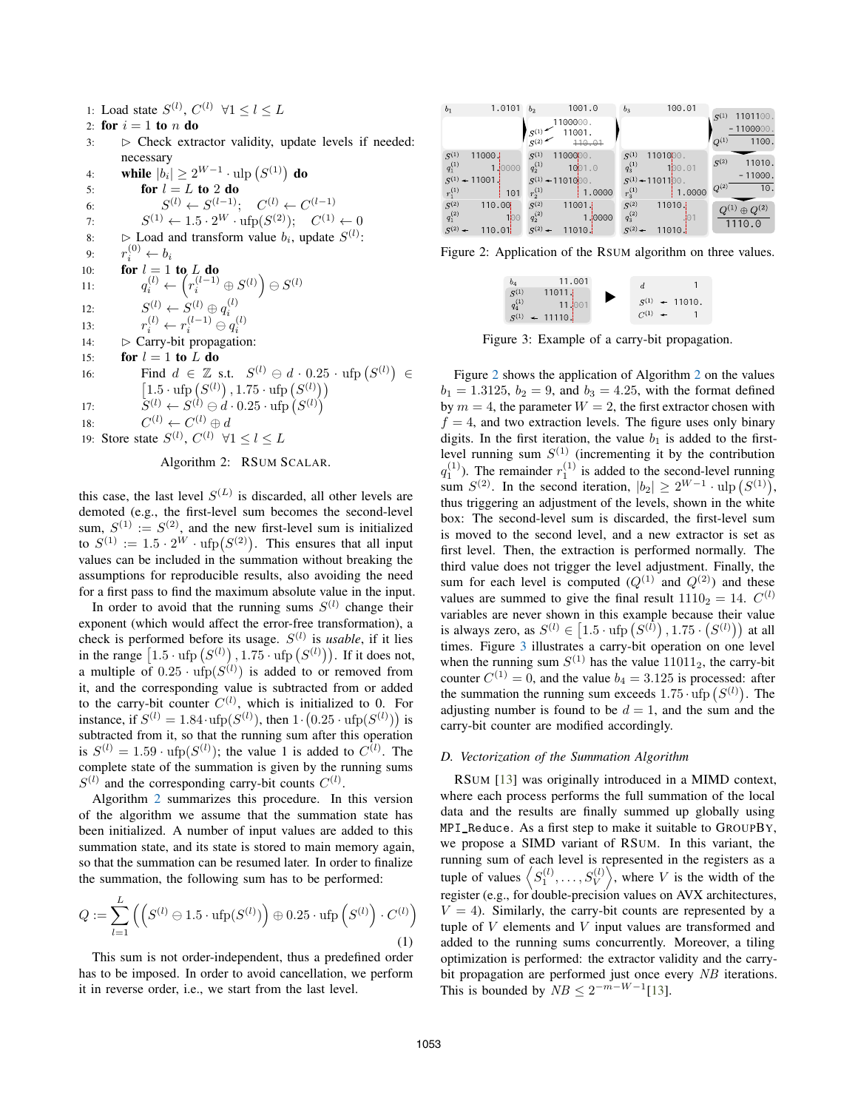1: Load state  $S^{(l)}$ ,  $C^{(l)}$   $\forall 1 \le l \le L$ 2: for  $i = 1$  to n do 3: - Check extractor validity, update levels if needed: necessary 4: **while**  $|b_i| \ge 2^{W-1} \cdot \text{ulp}(S^{(1)})$  do 5: **for**  $l = L$  to 2 do 6:  $S^{(l)} \leftarrow S^{(l-1)}$ ;  $C^{(l)} \leftarrow C^{(l-1)}$ <br>7:  $S^{(1)} \leftarrow 1.5 \cdot 2^W \cdot \text{ufp}(S^{(2)})$ ;  $C^{(1)}$ 7:  $S^{(1)} \leftarrow 1.5 \cdot 2^W \cdot \text{ufp}(S^{(2)}); \quad C^{(1)} \leftarrow 0$ <br>8:  $\Rightarrow$  Load and transform value  $b_i$ , update  $S^{(l)}$ : 8:  $\triangleright$  Load and transform value  $b_i$ , update  $S^{(l)}$ : 9:  $r_i^{(0)} \leftarrow b_i$ 10: for  $l = 1$  to  $L$  do 11:  $q_i^{(l)} \leftarrow (r_i^{(l-1)} \oplus S^{(l)}) \ominus S^{(l)}$ 12:  $S^{(l)} \leftarrow S^{(l)} \oplus q_i^{(l)}$ <br>
13:  $r_i^{(l)} \leftarrow r_i^{(l-1)} \ominus q_i^{(l)}$ 14:  $\triangleright$  Carry-bit propagation: 15: for  $l = 1$  to  $L$  do 16: Find  $d \in \mathbb{Z}$  s.t.  $S^{(l)} \ominus d \cdot 0.25 \cdot \text{ufp}(S^{(l)}) \in$  $\left[1.5 \cdot \text{ufp}\left(S^{(l)}\right), 1.75 \cdot \text{ufp}\left(S^{(l)}\right)\right)$ 17:  $S^{(l)} \leftarrow S^{(l)} \ominus d \cdot 0.25 \cdot \text{ufp} (S^{(l)})$ 18:  $C^{(l)} \leftarrow C^{(l)} \oplus d$ 19: Store state  $S^{(l)}$ ,  $C^{(l)}$   $\forall 1 \leq l \leq L$ 



this case, the last level  $S^{(L)}$  is discarded, all other levels are demoted (e.g., the first-level sum becomes the second-level sum,  $S^{(1)} := S^{(2)}$ , and the new first-level sum is initialized to  $S^{(1)} := 1.5 \cdot 2^{W} \cdot \text{ufp}(S^{(2)})$ . This ensures that all input values can be included in the summation without breaking the assumptions for reproducible results, also avoiding the need for a first pass to find the maximum absolute value in the input.

In order to avoid that the running sums  $S^{(l)}$  change their exponent (which would affect the error-free transformation), a check is performed before its usage.  $S^{(l)}$  is *usable*, if it lies in the range  $[1.5 \cdot \text{ufp } (S^{(l)}), 1.75 \cdot \text{ufp } (S^{(l)}))$ . If it does not, a multiple of  $0.25 \cdot \mathrm{ufp}(S^{(l)})$  is added to or removed from it, and the corresponding value is subtracted from or added to the carry-bit counter  $C^{(l)}$ , which is initialized to 0. For instance, if  $S^{(l)} = 1.84 \cdot \text{ufp}(S^{(l)})$ , then  $1 \cdot (0.25 \cdot \text{ufp}(S^{(l)}))$  is subtracted from it, so that the running sum after this operation is  $S^{(l)} = 1.59 \cdot \text{ufp}(S^{(l)})$ ; the value 1 is added to  $C^{(l)}$ . The complete state of the summation is given by the running sums  $S^{(l)}$  and the corresponding carry-bit counts  $C^{(l)}$ .

Algorithm 2 summarizes this procedure. In this version of the algorithm we assume that the summation state has been initialized. A number of input values are added to this summation state, and its state is stored to main memory again, so that the summation can be resumed later. In order to finalize the summation, the following sum has to be performed:

$$
Q := \sum_{l=1}^{L} \left( \left( S^{(l)} \ominus 1.5 \cdot \mathrm{ufp}(S^{(l)}) \right) \oplus 0.25 \cdot \mathrm{ufp} \left( S^{(l)} \right) \cdot C^{(l)} \right) \tag{1}
$$

This sum is not order-independent, thus a predefined order has to be imposed. In order to avoid cancellation, we perform it in reverse order, i.e., we start from the last level.

| 1.0101<br>b <sub>1</sub>                                                                                                                                           | b <sub>2</sub><br>$S^{(1)}$                                                                             | 1001.0<br>1100000.<br>11001.<br>$+10.01$                                                | b <sub>3</sub>                                                                          | 100.01                                                                                      | $S^{(1)}$<br>$O^{(1)}$ | 1101100.<br>$-1100000$ .<br>1100.                               |
|--------------------------------------------------------------------------------------------------------------------------------------------------------------------|---------------------------------------------------------------------------------------------------------|-----------------------------------------------------------------------------------------|-----------------------------------------------------------------------------------------|---------------------------------------------------------------------------------------------|------------------------|-----------------------------------------------------------------|
| $S^{(1)}$<br>11000.<br>$q_1^{(1)}$<br>1.0000<br>$S^{(1)}$ $\leftarrow$ 11001.<br>$r_1^{(1)}$<br>S <sup>(2)</sup><br>110.00<br>$q_1^{(2)}$<br>$S^{(2)}$ +<br>110.01 | $S^{(1)}$<br>$q_2^{(1)}$<br>$r_2^{(1)}$<br>101<br>S <sup>(2)</sup><br>$q_2^{(2)}$<br>100<br>$S^{(2)}$ + | 1100000.<br>1001.0<br>$S^{(1)}$ $\sim$ 1101000.<br>1.0000<br>11001.<br>1,0000<br>11010. | $S^{(1)}$<br>$q_3^{(1)}$<br>$r_3^{(1)}$<br>S <sup>(2)</sup><br>$q_3^{(2)}$<br>$S^{(2)}$ | 1101000.<br>100.01<br>$S^{(1)}$ $\leftarrow$ 1101100.<br>1.0000<br>11010.<br>.101<br>11010. | $S^{(2)}$<br>$Q^{(2)}$ | 11010.<br>$-11000.$<br>10.<br>$Q^{(1)}\oplus Q^{(2)}$<br>1110.0 |

Figure 2: Application of the RSUM algorithm on three values.

| $b_4$          | 11.001                        | d                       |                               |
|----------------|-------------------------------|-------------------------|-------------------------------|
| S <sub>1</sub> | 11011.                        | ۰                       |                               |
| $q_4^{(1)}$    | 11,001                        |                         | $S^{(1)}$ $\leftarrow$ 11010. |
|                | $S^{(1)}$ $\leftarrow$ 11110. | $C^{(1)}$ $\rightarrow$ |                               |

Figure 3: Example of a carry-bit propagation.

Figure 2 shows the application of Algorithm 2 on the values  $b_1 = 1.3125, b_2 = 9$ , and  $b_3 = 4.25$ , with the format defined by  $m = 4$ , the parameter  $W = 2$ , the first extractor chosen with  $f = 4$ , and two extraction levels. The figure uses only binary digits. In the first iteration, the value  $b_1$  is added to the firstlevel running sum  $S^{(1)}$  (incrementing it by the contribution  $q_1^{(1)}$ ). The remainder  $r_1^{(1)}$  is added to the second-level running sum  $S^{(2)}$ . In the second iteration,  $|b_2| \ge 2^{W-1} \cdot \text{ulp}(S^{(1)})$ , thus triggering an adjustment of the levels, shown in the white box: The second-level sum is discarded, the first-level sum is moved to the second level, and a new extractor is set as first level. Then, the extraction is performed normally. The third value does not trigger the level adjustment. Finally, the sum for each level is computed  $(Q^{(1)}$  and  $Q^{(2)}$ ) and these values are summed to give the final result  $1110<sub>2</sub> = 14$ .  $C^{(l)}$ variables are never shown in this example because their value is always zero, as  $S^{(l)} \in [1.5 \cdot \text{ufp } (S^{(l)}) , 1.75 \cdot (S^{(l)}) )$  at all times. Figure 3 illustrates a carry-bit operation on one level when the running sum  $S^{(1)}$  has the value 11011<sub>2</sub>, the carry-bit counter  $C^{(1)} = 0$ , and the value  $b_4 = 3.125$  is processed: after the summation the running sum exceeds  $1.75 \cdot \text{ufp} (S^{(l)})$ . The adjusting number is found to be  $d = 1$ , and the sum and the carry-bit counter are modified accordingly.

#### *D. Vectorization of the Summation Algorithm*

RSUM [13] was originally introduced in a MIMD context, where each process performs the full summation of the local data and the results are finally summed up globally using MPI\_Reduce. As a first step to make it suitable to GROUPBY, we propose a SIMD variant of RSUM. In this variant, the running sum of each level is represented in the registers as a tuple of values  $\left\langle S_1^{(l)}, \ldots, S_V^{(l)} \right\rangle$ , where V is the width of the register (e.g., for double-precision values on AVX architectures,  $V = 4$ ). Similarly, the carry-bit counts are represented by a tuple of V elements and V input values are transformed and added to the running sums concurrently. Moreover, a tiling optimization is performed: the extractor validity and the carrybit propagation are performed just once every *NB* iterations. This is bounded by  $NB \leq 2^{-m-W-1}[13]$ .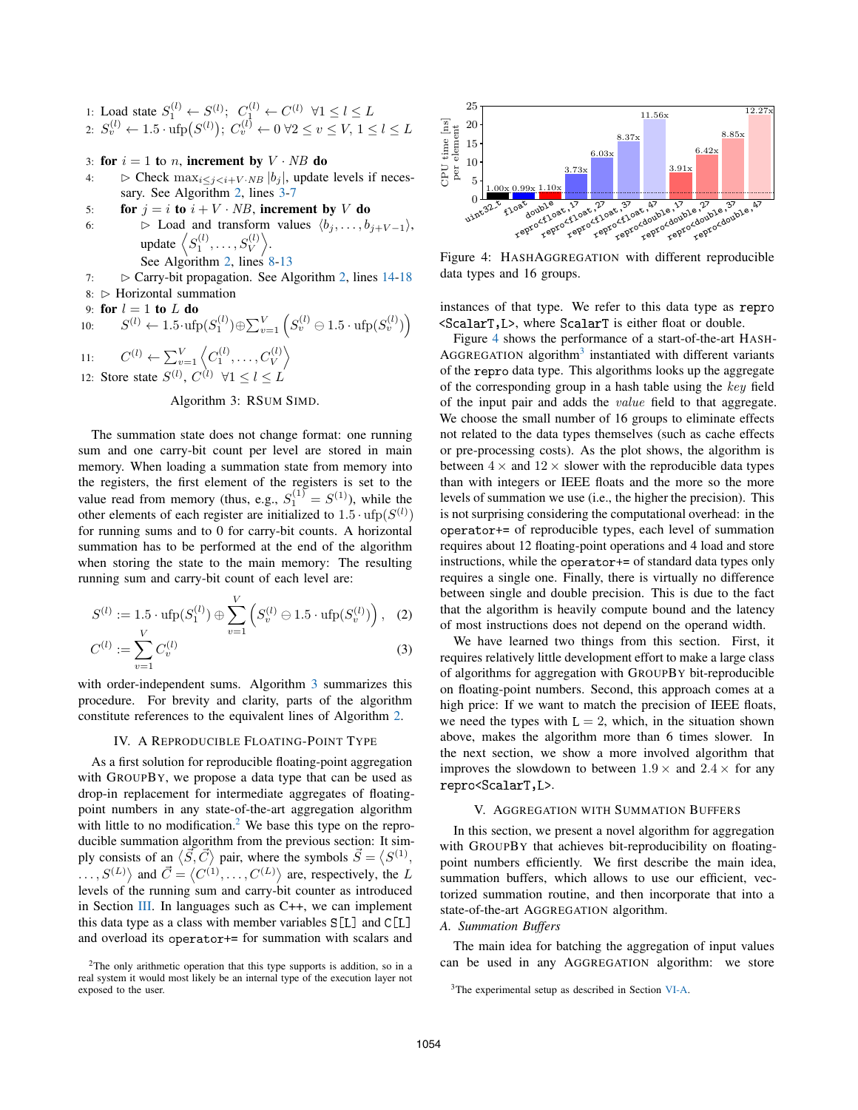1: Load state  $S_1^{(l)} \leftarrow S_1^{(l)}$ ;  $C_1^{(l)} \leftarrow C_1^{(l)}$   $\forall 1 \leq l \leq L$ 2:  $S_v^{(l)} \leftarrow 1.5 \cdot \text{ufp}(S^{(l)})$ ;  $C_v^{(l)} \leftarrow 0 \ \forall 2 \le v \le V, 1 \le l \le L$ 

- 3: **for**  $i = 1$  to *n*, **increment by**  $V \cdot NB$  **do**<br>4:  $\triangleright$  Check maximize  $i \leq i \leq NB$  [b<sub>i</sub>], undate
- 4:  $\triangleright$  Check  $\max_{i \leq j \leq i+V}$   $\cdot$   $\frac{N}{B}$  |b<sub>j</sub>|, update levels if necessary. See Algorithm 2, lines 3-7
- 5: **for**  $j = i$  **to**  $i + V \cdot NB$ , **increment by** V **do**<br>6:  $\triangleright$  Load and transform values  $\langle b_i, \ldots, b \rangle$
- 6:  $\triangleright$  Load and transform values  $\langle b_j, \ldots, b_{j+V-1} \rangle$ , update  $\left\langle S_1^{(l)}, \ldots, S_V^{(l)} \right\rangle$ . See Algorithm 2, lines 8-13
- 7:  $\triangleright$  Carry-bit propagation. See Algorithm 2, lines 14-18
- $8:$   $\triangleright$  Horizontal summation
- 9: for  $l = 1$  to  $L$  do 10:  $S^{(l)} \leftarrow 1.5 \cdot \text{ufp}(S_1^{(l)}) \oplus \sum_{v=1}^{V} \left( S_v^{(l)} \ominus 1.5 \cdot \text{ufp}(S_v^{(l)}) \right)$

11:  $C^{(l)} \leftarrow \sum_{v=1}^{V} \left\langle C_1^{(l)}, \ldots, C_V^{(l)} \right\rangle$ 12: Store state  $S^{(l)}$ ,  $C^{(l)}$   $\forall 1 \le l \le L$ 

# Algorithm 3: RSUM SIMD.

The summation state does not change format: one running sum and one carry-bit count per level are stored in main memory. When loading a summation state from memory into the registers, the first element of the registers is set to the value read from memory (thus, e.g.,  $S_1^{(1)} = S^{(1)}$ ), while the other elements of each register are initialized to  $1.5 \cdot \text{ufp}(S^{(l)})$ for running sums and to 0 for carry-bit counts. A horizontal summation has to be performed at the end of the algorithm when storing the state to the main memory: The resulting running sum and carry-bit count of each level are:

$$
S^{(l)} := 1.5 \cdot \mathrm{ufp}(S_1^{(l)}) \oplus \sum_{v=1}^{V} \left( S_v^{(l)} \ominus 1.5 \cdot \mathrm{ufp}(S_v^{(l)}) \right), \quad (2)
$$

$$
C^{(l)} := \sum_{v=1}^{l} C_v^{(l)} \tag{3}
$$

with order-independent sums. Algorithm 3 summarizes this procedure. For brevity and clarity, parts of the algorithm constitute references to the equivalent lines of Algorithm 2.

## IV. A REPRODUCIBLE FLOATING-POINT TYPE

As a first solution for reproducible floating-point aggregation with GROUPBY, we propose a data type that can be used as drop-in replacement for intermediate aggregates of floatingpoint numbers in any state-of-the-art aggregation algorithm with little to no modification.<sup>2</sup> We base this type on the reproducible summation algorithm from the previous section: It simply consists of an  $\langle \vec{S}, \vec{C} \rangle$  pair, where the symbols  $\vec{S} = \langle S^{(1)}, \rangle$  $\langle C, S^{(L)} \rangle$  and  $\vec{C} = \langle C^{(1)}, \dots, C^{(L)} \rangle$  are, respectively, the  $L$ levels of the running sum and carry-bit counter as introduced in Section III. In languages such as  $C_{++}$ , we can implement this data type as a class with member variables  $S[L]$  and  $C[L]$ and overload its operator+= for summation with scalars and



Figure 4: HASHAGGREGATION with different reproducible data types and 16 groups.

instances of that type. We refer to this data type as repro <ScalarT, L>, where ScalarT is either float or double.

Figure 4 shows the performance of a start-of-the-art HASH-AGGREGATION algorithm<sup>3</sup> instantiated with different variants of the repro data type. This algorithms looks up the aggregate of the corresponding group in a hash table using the *key* field of the input pair and adds the *value* field to that aggregate. We choose the small number of 16 groups to eliminate effects not related to the data types themselves (such as cache effects or pre-processing costs). As the plot shows, the algorithm is between  $4 \times$  and  $12 \times$  slower with the reproducible data types than with integers or IEEE floats and the more so the more levels of summation we use (i.e., the higher the precision). This is not surprising considering the computational overhead: in the operator+= of reproducible types, each level of summation requires about 12 floating-point operations and 4 load and store instructions, while the operator  $+=$  of standard data types only requires a single one. Finally, there is virtually no difference between single and double precision. This is due to the fact that the algorithm is heavily compute bound and the latency of most instructions does not depend on the operand width.

We have learned two things from this section. First, it requires relatively little development effort to make a large class of algorithms for aggregation with GROUPBY bit-reproducible on floating-point numbers. Second, this approach comes at a high price: If we want to match the precision of IEEE floats, we need the types with  $L = 2$ , which, in the situation shown above, makes the algorithm more than 6 times slower. In the next section, we show a more involved algorithm that improves the slowdown to between  $1.9 \times$  and  $2.4 \times$  for any repro<ScalarT,L>.

# V. AGGREGATION WITH SUMMATION BUFFERS

In this section, we present a novel algorithm for aggregation with GROUPBY that achieves bit-reproducibility on floatingpoint numbers efficiently. We first describe the main idea, summation buffers, which allows to use our efficient, vectorized summation routine, and then incorporate that into a state-of-the-art AGGREGATION algorithm.

# *A. Summation Buffers*

The main idea for batching the aggregation of input values can be used in any AGGREGATION algorithm: we store

<sup>2</sup>The only arithmetic operation that this type supports is addition, so in a real system it would most likely be an internal type of the execution layer not exposed to the user.

<sup>&</sup>lt;sup>3</sup>The experimental setup as described in Section VI-A.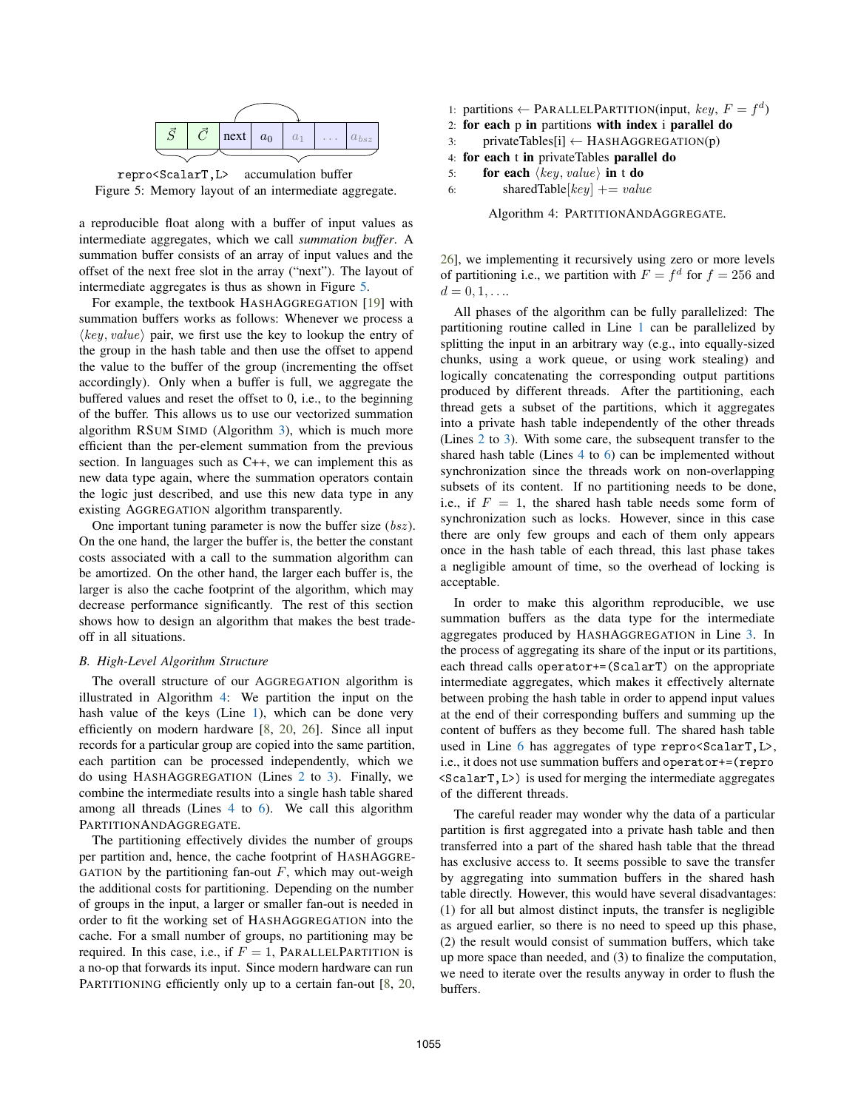

repro<ScalarT,L> accumulation buffer Figure 5: Memory layout of an intermediate aggregate.

a reproducible float along with a buffer of input values as intermediate aggregates, which we call *summation buffer*. A summation buffer consists of an array of input values and the offset of the next free slot in the array ("next"). The layout of intermediate aggregates is thus as shown in Figure 5.

For example, the textbook HASHAGGREGATION [19] with summation buffers works as follows: Whenever we process a  $\langle key, value \rangle$  pair, we first use the key to lookup the entry of the group in the bash table and then use the offset to append the group in the hash table and then use the offset to append the value to the buffer of the group (incrementing the offset accordingly). Only when a buffer is full, we aggregate the buffered values and reset the offset to 0, i.e., to the beginning of the buffer. This allows us to use our vectorized summation algorithm RSUM SIMD (Algorithm 3), which is much more efficient than the per-element summation from the previous section. In languages such as C++, we can implement this as new data type again, where the summation operators contain the logic just described, and use this new data type in any existing AGGREGATION algorithm transparently.

One important tuning parameter is now the buffer size (*bsz* ). On the one hand, the larger the buffer is, the better the constant costs associated with a call to the summation algorithm can be amortized. On the other hand, the larger each buffer is, the larger is also the cache footprint of the algorithm, which may decrease performance significantly. The rest of this section shows how to design an algorithm that makes the best tradeoff in all situations.

#### *B. High-Level Algorithm Structure*

The overall structure of our AGGREGATION algorithm is illustrated in Algorithm 4: We partition the input on the hash value of the keys (Line 1), which can be done very efficiently on modern hardware [8, 20, 26]. Since all input records for a particular group are copied into the same partition, each partition can be processed independently, which we do using HASHAGGREGATION (Lines 2 to 3). Finally, we combine the intermediate results into a single hash table shared among all threads (Lines 4 to 6). We call this algorithm PARTITIONANDAGGREGATE.

The partitioning effectively divides the number of groups per partition and, hence, the cache footprint of HASHAGGRE-GATION by the partitioning fan-out  $F$ , which may out-weigh the additional costs for partitioning. Depending on the number of groups in the input, a larger or smaller fan-out is needed in order to fit the working set of HASHAGGREGATION into the cache. For a small number of groups, no partitioning may be required. In this case, i.e., if  $F = 1$ , PARALLELPARTITION is a no-op that forwards its input. Since modern hardware can run PARTITIONING efficiently only up to a certain fan-out [8, 20,

- 1: partitions  $\leftarrow$  PARALLELPARTITION(input, *key*,  $F = f^d$ )
- 2: for each p in partitions with index i parallel do
- 3: privateTables $[i] \leftarrow$ HASHAGGREGATION(p)
- 4: for each t in privateTables parallel do
- 5: **for each**  $\langle key, value \rangle$  in t do
- 6: sharedTable[*key*] += *value*

Algorithm 4: PARTITIONANDAGGREGATE.

26], we implementing it recursively using zero or more levels of partitioning i.e., we partition with  $F = f<sup>d</sup>$  for  $f = 256$  and  $d = 0, 1, \ldots$ 

All phases of the algorithm can be fully parallelized: The partitioning routine called in Line 1 can be parallelized by splitting the input in an arbitrary way (e.g., into equally-sized chunks, using a work queue, or using work stealing) and logically concatenating the corresponding output partitions produced by different threads. After the partitioning, each thread gets a subset of the partitions, which it aggregates into a private hash table independently of the other threads (Lines 2 to 3). With some care, the subsequent transfer to the shared hash table (Lines 4 to 6) can be implemented without synchronization since the threads work on non-overlapping subsets of its content. If no partitioning needs to be done, i.e., if  $F = 1$ , the shared hash table needs some form of synchronization such as locks. However, since in this case there are only few groups and each of them only appears once in the hash table of each thread, this last phase takes a negligible amount of time, so the overhead of locking is acceptable.

In order to make this algorithm reproducible, we use summation buffers as the data type for the intermediate aggregates produced by HASHAGGREGATION in Line 3. In the process of aggregating its share of the input or its partitions, each thread calls operator+=(ScalarT) on the appropriate intermediate aggregates, which makes it effectively alternate between probing the hash table in order to append input values at the end of their corresponding buffers and summing up the content of buffers as they become full. The shared hash table used in Line 6 has aggregates of type repro<ScalarT, L>, i.e., it does not use summation buffers and operator+=(repro  $\langle$ ScalarT, L>) is used for merging the intermediate aggregates of the different threads.

The careful reader may wonder why the data of a particular partition is first aggregated into a private hash table and then transferred into a part of the shared hash table that the thread has exclusive access to. It seems possible to save the transfer by aggregating into summation buffers in the shared hash table directly. However, this would have several disadvantages: (1) for all but almost distinct inputs, the transfer is negligible as argued earlier, so there is no need to speed up this phase, (2) the result would consist of summation buffers, which take up more space than needed, and (3) to finalize the computation, we need to iterate over the results anyway in order to flush the buffers.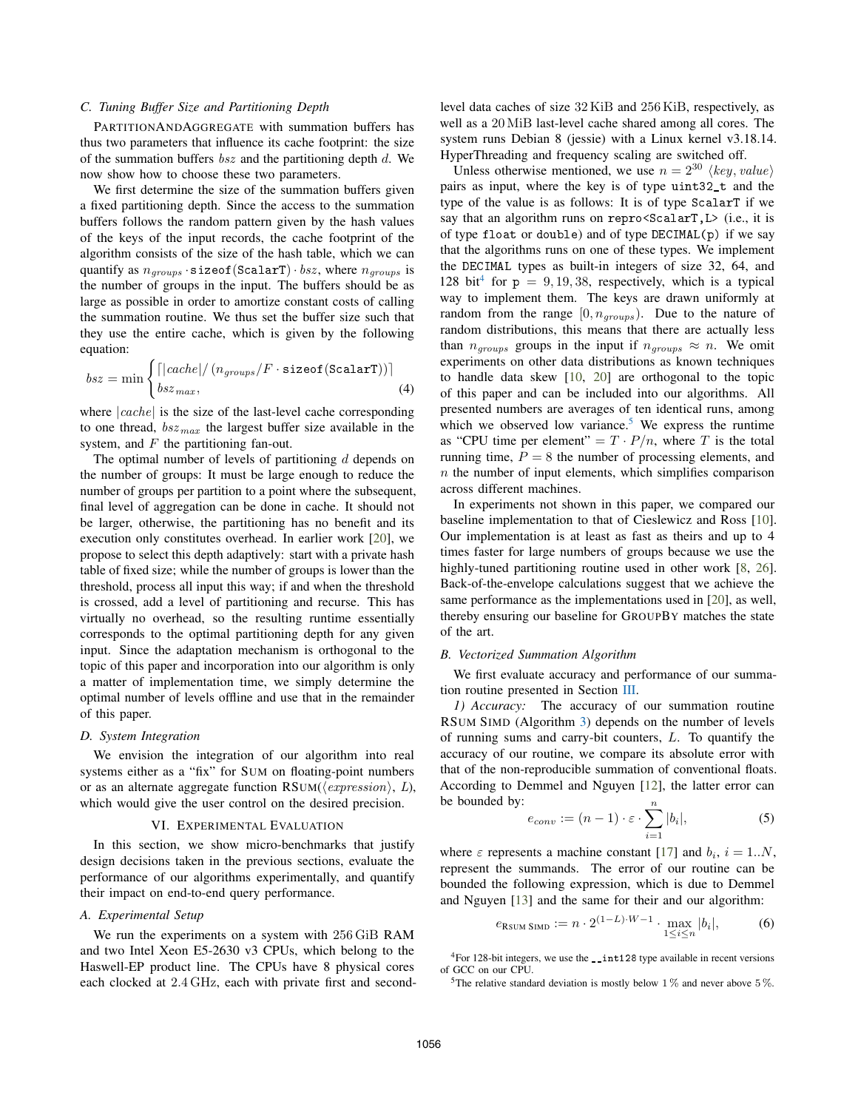# *C. Tuning Buffer Size and Partitioning Depth*

PARTITIONANDAGGREGATE with summation buffers has thus two parameters that influence its cache footprint: the size of the summation buffers *bsz* and the partitioning depth <sup>d</sup>. We now show how to choose these two parameters.

We first determine the size of the summation buffers given a fixed partitioning depth. Since the access to the summation buffers follows the random pattern given by the hash values of the keys of the input records, the cache footprint of the algorithm consists of the size of the hash table, which we can quantify as  $n_{groups} \cdot$  size of (ScalarT)  $\cdot$  *bsz*, where  $n_{groups}$  is the number of groups in the input. The buffers should be as the number of groups in the input. The buffers should be as large as possible in order to amortize constant costs of calling the summation routine. We thus set the buffer size such that they use the entire cache, which is given by the following equation:

$$
bsz = \min \begin{cases} \left[ |cache| / \left( n_{groups} / F \cdot \text{sizeof}(\text{ScalarT}) \right) \right] \\ bsz_{max}, \end{cases} \tag{4}
$$

where <sup>|</sup>*cache*<sup>|</sup> is the size of the last-level cache corresponding to one thread,  $bsz_{max}$  the largest buffer size available in the system, and  $F$  the partitioning fan-out.

The optimal number of levels of partitioning  $d$  depends on the number of groups: It must be large enough to reduce the number of groups per partition to a point where the subsequent, final level of aggregation can be done in cache. It should not be larger, otherwise, the partitioning has no benefit and its execution only constitutes overhead. In earlier work [20], we propose to select this depth adaptively: start with a private hash table of fixed size; while the number of groups is lower than the threshold, process all input this way; if and when the threshold is crossed, add a level of partitioning and recurse. This has virtually no overhead, so the resulting runtime essentially corresponds to the optimal partitioning depth for any given input. Since the adaptation mechanism is orthogonal to the topic of this paper and incorporation into our algorithm is only a matter of implementation time, we simply determine the optimal number of levels offline and use that in the remainder of this paper.

#### *D. System Integration*

We envision the integration of our algorithm into real systems either as a "fix" for SUM on floating-point numbers or as an alternate aggregate function  $\text{RSUM}(\langle expression \rangle, L)$ , which would give the user control on the desired precision which would give the user control on the desired precision.

## VI. EXPERIMENTAL EVALUATION

In this section, we show micro-benchmarks that justify design decisions taken in the previous sections, evaluate the performance of our algorithms experimentally, and quantify their impact on end-to-end query performance.

#### *A. Experimental Setup*

We run the experiments on a system with 256 GiB RAM and two Intel Xeon E5-2630 v3 CPUs, which belong to the Haswell-EP product line. The CPUs have 8 physical cores each clocked at 2.4 GHz, each with private first and secondlevel data caches of size 32 KiB and 256 KiB, respectively, as well as a 20 MiB last-level cache shared among all cores. The system runs Debian 8 (jessie) with a Linux kernel v3.18.14. HyperThreading and frequency scaling are switched off.

Unless otherwise mentioned, we use  $n = 2^{30}$  (*key*, *value*) is as input, where the key is of type wint 32 t, and the pairs as input, where the key is of type uint32\_t and the type of the value is as follows: It is of type ScalarT if we say that an algorithm runs on  $\mathtt{repr}$ o< $\mathtt{ScalarT},$ L> (i.e., it is of type float or double) and of type DECIMAL(p) if we say that the algorithms runs on one of these types. We implement the DECIMAL types as built-in integers of size 32, 64, and 128 bit<sup>4</sup> for  $p = 9, 19, 38$ , respectively, which is a typical way to implement them. The keys are drawn uniformly at random from the range  $[0, n_{groups}]$ . Due to the nature of random distributions, this means that there are actually less than  $n_{groups}$  groups in the input if  $n_{groups} \approx n$ . We omit experiments on other data distributions as known techniques to handle data skew [10, 20] are orthogonal to the topic of this paper and can be included into our algorithms. All presented numbers are averages of ten identical runs, among which we observed low variance.<sup>5</sup> We express the runtime as "CPU time per element" =  $T \cdot P/n$ , where T is the total running time,  $P = 8$  the number of processing elements, and  $n$  the number of input elements, which simplifies comparison across different machines.

In experiments not shown in this paper, we compared our baseline implementation to that of Cieslewicz and Ross [10]. Our implementation is at least as fast as theirs and up to 4 times faster for large numbers of groups because we use the highly-tuned partitioning routine used in other work [8, 26]. Back-of-the-envelope calculations suggest that we achieve the same performance as the implementations used in [20], as well, thereby ensuring our baseline for GROUPBY matches the state of the art.

# *B. Vectorized Summation Algorithm*

We first evaluate accuracy and performance of our summation routine presented in Section III.

*1) Accuracy:* The accuracy of our summation routine RSUM SIMD (Algorithm 3) depends on the number of levels of running sums and carry-bit counters, L. To quantify the accuracy of our routine, we compare its absolute error with that of the non-reproducible summation of conventional floats. According to Demmel and Nguyen [12], the latter error can be bounded by:

$$
e_{conv} := (n-1) \cdot \varepsilon \cdot \sum_{i=1}^{n} |b_i|,
$$
 (5)

where  $\varepsilon$  represents a machine constant [17] and  $b_i$ ,  $i = 1..N$ , represent the summands. The error of our routine can be bounded the following expression, which is due to Demmel and Nguyen [13] and the same for their and our algorithm:

$$
e_{\text{RSUM SIMD}} := n \cdot 2^{(1-L)\cdot W - 1} \cdot \max_{1 \le i \le n} |b_i|,\tag{6}
$$

 ${}^{4}$ For 128-bit integers, we use the \_int128 type available in recent versions of GCC on our CPU.

<sup>5</sup>The relative standard deviation is mostly below 1  $\%$  and never above 5  $\%$ .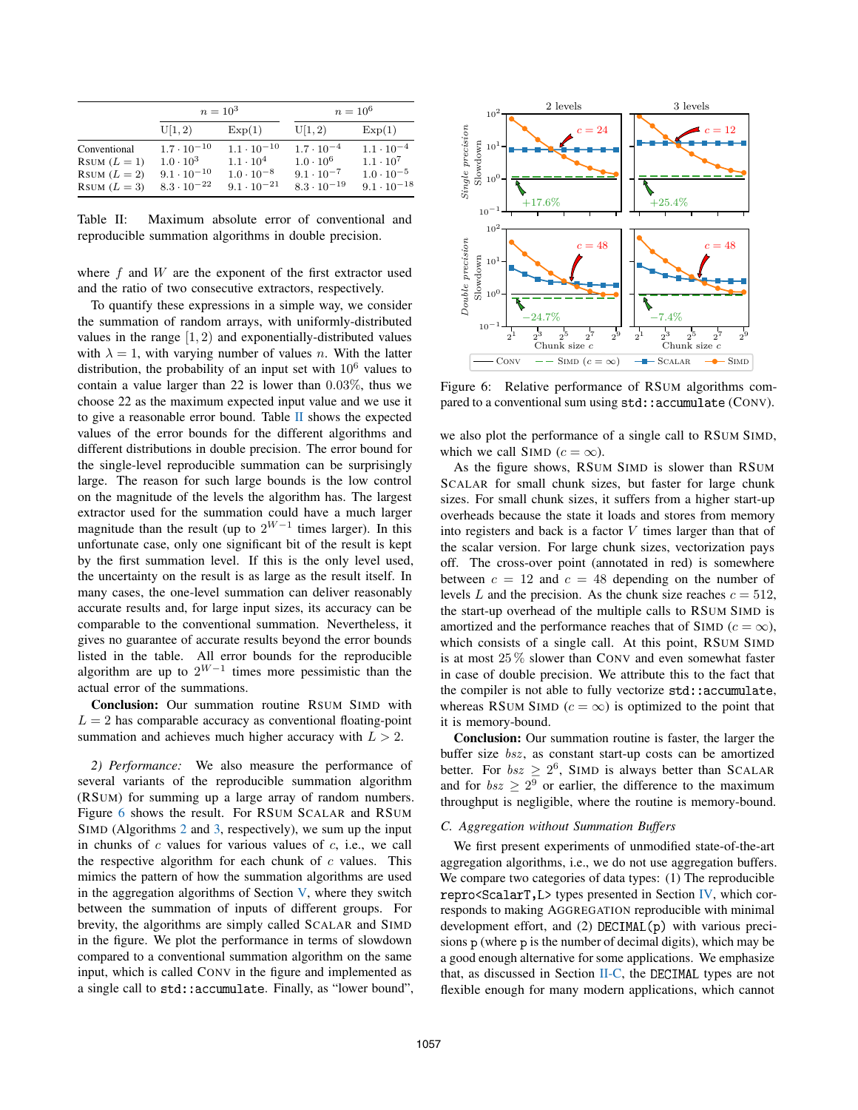|                                                                    | $n = 10^{3}$                                                                             |                                                                                           | $n = 10^6$                                                                             |                                                                                          |
|--------------------------------------------------------------------|------------------------------------------------------------------------------------------|-------------------------------------------------------------------------------------------|----------------------------------------------------------------------------------------|------------------------------------------------------------------------------------------|
|                                                                    | U[1, 2)                                                                                  | Exp(1)                                                                                    | U[1, 2)                                                                                | Exp(1)                                                                                   |
| Conventional<br>RSUM $(L = 1)$<br>RSUM $(L = 2)$<br>RSUM $(L = 3)$ | $1.7 \cdot 10^{-10}$<br>$1.0 \cdot 10^3$<br>$9.1 \cdot 10^{-10}$<br>$8.3 \cdot 10^{-22}$ | $1.1 \cdot 10^{-10}$<br>$1.1 \cdot 10^{4}$<br>$1.0 \cdot 10^{-8}$<br>$9.1 \cdot 10^{-21}$ | $1.7 \cdot 10^{-4}$<br>$1.0 \cdot 10^6$<br>$9.1 \cdot 10^{-7}$<br>$8.3 \cdot 10^{-19}$ | $1.1 \cdot 10^{-4}$<br>$1.1 \cdot 10^{7}$<br>$1.0 \cdot 10^{-5}$<br>$9.1 \cdot 10^{-18}$ |

Table II: Maximum absolute error of conventional and reproducible summation algorithms in double precision.

where  $f$  and  $W$  are the exponent of the first extractor used and the ratio of two consecutive extractors, respectively.

To quantify these expressions in a simple way, we consider the summation of random arrays, with uniformly-distributed values in the range  $(1, 2)$  and exponentially-distributed values with  $\lambda = 1$ , with varying number of values n. With the latter distribution, the probability of an input set with  $10^6$  values to contain a value larger than 22 is lower than 0.03%, thus we choose 22 as the maximum expected input value and we use it to give a reasonable error bound. Table II shows the expected values of the error bounds for the different algorithms and different distributions in double precision. The error bound for the single-level reproducible summation can be surprisingly large. The reason for such large bounds is the low control on the magnitude of the levels the algorithm has. The largest extractor used for the summation could have a much larger magnitude than the result (up to  $2^{W-1}$  times larger). In this unfortunate case, only one significant bit of the result is kept by the first summation level. If this is the only level used, the uncertainty on the result is as large as the result itself. In many cases, the one-level summation can deliver reasonably accurate results and, for large input sizes, its accuracy can be comparable to the conventional summation. Nevertheless, it gives no guarantee of accurate results beyond the error bounds listed in the table. All error bounds for the reproducible algorithm are up to  $2^{W-1}$  times more pessimistic than the actual error of the summations.

Conclusion: Our summation routine RSUM SIMD with  $L = 2$  has comparable accuracy as conventional floating-point summation and achieves much higher accuracy with  $L > 2$ .

*2) Performance:* We also measure the performance of several variants of the reproducible summation algorithm (RSUM) for summing up a large array of random numbers. Figure 6 shows the result. For RSUM SCALAR and RSUM SIMD (Algorithms 2 and 3, respectively), we sum up the input in chunks of  $c$  values for various values of  $c$ , i.e., we call the respective algorithm for each chunk of  $c$  values. This mimics the pattern of how the summation algorithms are used in the aggregation algorithms of Section  $V$ , where they switch between the summation of inputs of different groups. For brevity, the algorithms are simply called SCALAR and SIMD in the figure. We plot the performance in terms of slowdown compared to a conventional summation algorithm on the same input, which is called CONV in the figure and implemented as a single call to std::accumulate. Finally, as "lower bound",



Figure 6: Relative performance of RSUM algorithms compared to a conventional sum using  $std:iaccumulate$  (CONV).

we also plot the performance of a single call to RSUM SIMD, which we call SIMD  $(c = \infty)$ .

As the figure shows, RSUM SIMD is slower than RSUM SCALAR for small chunk sizes, but faster for large chunk sizes. For small chunk sizes, it suffers from a higher start-up overheads because the state it loads and stores from memory into registers and back is a factor  $V$  times larger than that of the scalar version. For large chunk sizes, vectorization pays off. The cross-over point (annotated in red) is somewhere between  $c = 12$  and  $c = 48$  depending on the number of levels L and the precision. As the chunk size reaches  $c = 512$ , the start-up overhead of the multiple calls to RSUM SIMD is amortized and the performance reaches that of SIMD ( $c = \infty$ ), which consists of a single call. At this point, RSUM SIMD is at most 25 % slower than CONV and even somewhat faster in case of double precision. We attribute this to the fact that the compiler is not able to fully vectorize std:: accumulate, whereas RSUM SIMD  $(c = \infty)$  is optimized to the point that it is memory-bound.

Conclusion: Our summation routine is faster, the larger the buffer size *bsz*, as constant start-up costs can be amortized better. For  $bsz \geq 2^6$ , SIMD is always better than SCALAR and for  $bsz \geq 2^9$  or earlier, the difference to the maximum throughput is negligible, where the routine is memory-bound.

# *C. Aggregation without Summation Buffers*

We first present experiments of unmodified state-of-the-art aggregation algorithms, i.e., we do not use aggregation buffers. We compare two categories of data types: (1) The reproducible  $repro\text{\textless}$ ScalarT, L> types presented in Section IV, which corresponds to making AGGREGATION reproducible with minimal development effort, and  $(2)$  DECIMAL $(p)$  with various precisions  $p$  (where  $p$  is the number of decimal digits), which may be a good enough alternative for some applications. We emphasize that, as discussed in Section  $II-C$ , the DECIMAL types are not flexible enough for many modern applications, which cannot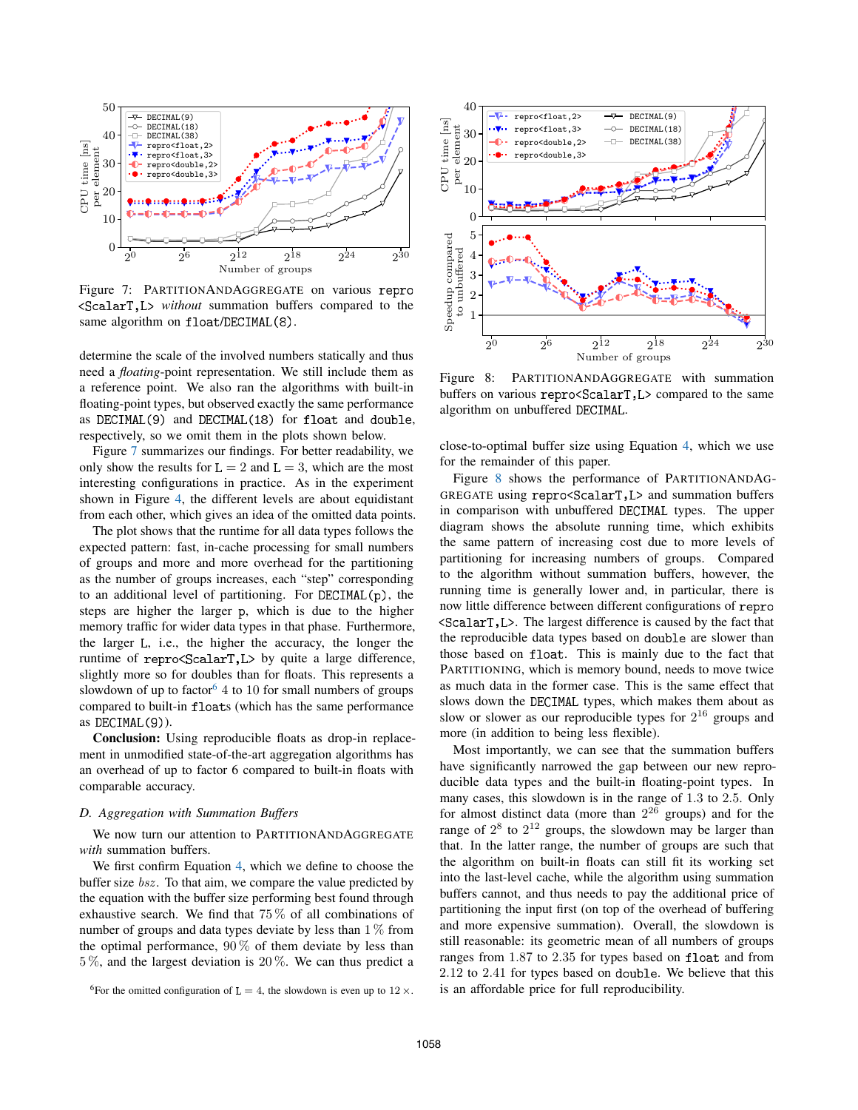

Figure 7: PARTITIONANDAGGREGATE on various repro *without* summation buffers compared to the same algorithm on float/DECIMAL(8).

determine the scale of the involved numbers statically and thus need a *floating*-point representation. We still include them as a reference point. We also ran the algorithms with built-in floating-point types, but observed exactly the same performance as DECIMAL(9) and DECIMAL(18) for float and double, respectively, so we omit them in the plots shown below.

Figure 7 summarizes our findings. For better readability, we only show the results for  $L = 2$  and  $L = 3$ , which are the most interesting configurations in practice. As in the experiment shown in Figure 4, the different levels are about equidistant from each other, which gives an idea of the omitted data points.

The plot shows that the runtime for all data types follows the expected pattern: fast, in-cache processing for small numbers of groups and more and more overhead for the partitioning as the number of groups increases, each "step" corresponding to an additional level of partitioning. For  $DECIMAL(p)$ , the steps are higher the larger p, which is due to the higher memory traffic for wider data types in that phase. Furthermore, the larger L, i.e., the higher the accuracy, the longer the runtime of  $repro\text{-}ScalarT, L$  by quite a large difference, slightly more so for doubles than for floats. This represents a slowdown of up to factor<sup> $6$ </sup> 4 to 10 for small numbers of groups compared to built-in floats (which has the same performance as  $DECIMAL(9)$ ).

Conclusion: Using reproducible floats as drop-in replacement in unmodified state-of-the-art aggregation algorithms has an overhead of up to factor 6 compared to built-in floats with comparable accuracy.

#### *D. Aggregation with Summation Buffers*

We now turn our attention to PARTITIONANDAGGREGATE *with* summation buffers.

We first confirm Equation 4, which we define to choose the buffer size *bsz*. To that aim, we compare the value predicted by the equation with the buffer size performing best found through exhaustive search. We find that  $75\%$  of all combinations of number of groups and data types deviate by less than  $1\%$  from the optimal performance, 90 % of them deviate by less than 5 %, and the largest deviation is 20 %. We can thus predict a

<sup>6</sup>For the omitted configuration of  $L = 4$ , the slowdown is even up to  $12 \times$ .



Figure 8: PARTITIONANDAGGREGATE with summation buffers on various repro<ScalarT, L> compared to the same algorithm on unbuffered DECIMAL.

close-to-optimal buffer size using Equation 4, which we use for the remainder of this paper.

Figure 8 shows the performance of PARTITIONANDAG-GREGATE using  $repro\text{-}ScalarT,L$  and summation buffers in comparison with unbuffered DECIMAL types. The upper diagram shows the absolute running time, which exhibits the same pattern of increasing cost due to more levels of partitioning for increasing numbers of groups. Compared to the algorithm without summation buffers, however, the running time is generally lower and, in particular, there is now little difference between different configurations of repro  $\leq$ ScalarT, L $>$ . The largest difference is caused by the fact that the reproducible data types based on double are slower than those based on float. This is mainly due to the fact that PARTITIONING, which is memory bound, needs to move twice as much data in the former case. This is the same effect that slows down the DECIMAL types, which makes them about as slow or slower as our reproducible types for  $2^{16}$  groups and more (in addition to being less flexible).

Most importantly, we can see that the summation buffers have significantly narrowed the gap between our new reproducible data types and the built-in floating-point types. In many cases, this slowdown is in the range of 1.3 to 2.5. Only for almost distinct data (more than  $2^{26}$  groups) and for the range of  $2^8$  to  $2^{12}$  groups, the slowdown may be larger than that. In the latter range, the number of groups are such that the algorithm on built-in floats can still fit its working set into the last-level cache, while the algorithm using summation buffers cannot, and thus needs to pay the additional price of partitioning the input first (on top of the overhead of buffering and more expensive summation). Overall, the slowdown is still reasonable: its geometric mean of all numbers of groups ranges from  $1.87$  to  $2.35$  for types based on float and from  $2.12$  to  $2.41$  for types based on double. We believe that this is an affordable price for full reproducibility.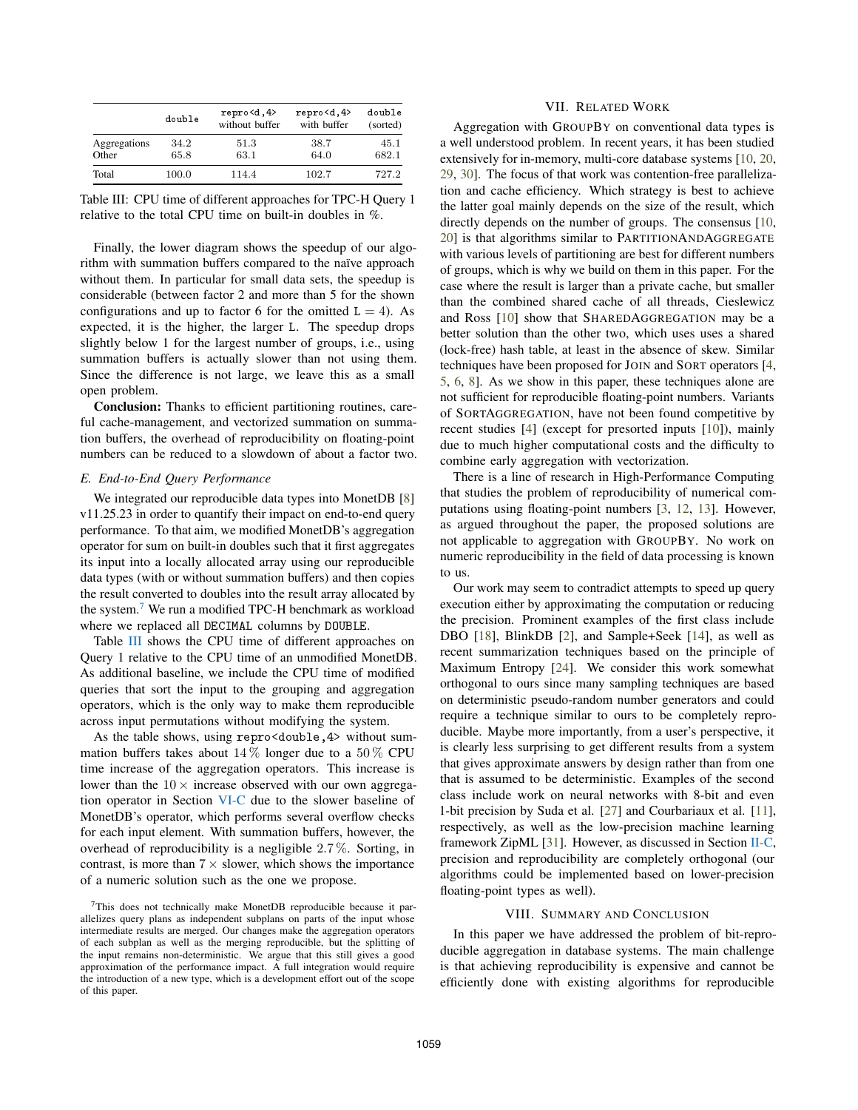|                       | double       | repro < d, 4<br>without buffer | repro < d, 4<br>with buffer | double<br>(sorted) |
|-----------------------|--------------|--------------------------------|-----------------------------|--------------------|
| Aggregations<br>Other | 34.2<br>65.8 | 51.3<br>63.1                   | 38.7<br>64.0                | 45.1<br>682.1      |
| Total                 | 100.0        | 114.4                          | 102.7                       | 727.2              |

Table III: CPU time of different approaches for TPC-H Query 1 relative to the total CPU time on built-in doubles in %.

Finally, the lower diagram shows the speedup of our algorithm with summation buffers compared to the naïve approach without them. In particular for small data sets, the speedup is considerable (between factor 2 and more than 5 for the shown configurations and up to factor 6 for the omitted  $L = 4$ ). As expected, it is the higher, the larger L. The speedup drops slightly below 1 for the largest number of groups, i.e., using summation buffers is actually slower than not using them. Since the difference is not large, we leave this as a small open problem.

Conclusion: Thanks to efficient partitioning routines, careful cache-management, and vectorized summation on summation buffers, the overhead of reproducibility on floating-point numbers can be reduced to a slowdown of about a factor two.

## *E. End-to-End Query Performance*

We integrated our reproducible data types into MonetDB [8] v11.25.23 in order to quantify their impact on end-to-end query performance. To that aim, we modified MonetDB's aggregation operator for sum on built-in doubles such that it first aggregates its input into a locally allocated array using our reproducible data types (with or without summation buffers) and then copies the result converted to doubles into the result array allocated by the system.7 We run a modified TPC-H benchmark as workload where we replaced all DECIMAL columns by DOUBLE.

Table III shows the CPU time of different approaches on Query 1 relative to the CPU time of an unmodified MonetDB. As additional baseline, we include the CPU time of modified queries that sort the input to the grouping and aggregation operators, which is the only way to make them reproducible across input permutations without modifying the system.

As the table shows, using repro<double, 4> without summation buffers takes about  $14\%$  longer due to a 50% CPU time increase of the aggregation operators. This increase is lower than the  $10 \times$  increase observed with our own aggregation operator in Section VI-C due to the slower baseline of MonetDB's operator, which performs several overflow checks for each input element. With summation buffers, however, the overhead of reproducibility is a negligible 2.7 %. Sorting, in contrast, is more than  $7 \times$  slower, which shows the importance of a numeric solution such as the one we propose.

# VII. RELATED WORK

Aggregation with GROUPBY on conventional data types is a well understood problem. In recent years, it has been studied extensively for in-memory, multi-core database systems [10, 20, 29, 30]. The focus of that work was contention-free parallelization and cache efficiency. Which strategy is best to achieve the latter goal mainly depends on the size of the result, which directly depends on the number of groups. The consensus [10, 20] is that algorithms similar to PARTITIONANDAGGREGATE with various levels of partitioning are best for different numbers of groups, which is why we build on them in this paper. For the case where the result is larger than a private cache, but smaller than the combined shared cache of all threads, Cieslewicz and Ross [10] show that SHAREDAGGREGATION may be a better solution than the other two, which uses uses a shared (lock-free) hash table, at least in the absence of skew. Similar techniques have been proposed for JOIN and SORT operators [4, 5, 6, 8]. As we show in this paper, these techniques alone are not sufficient for reproducible floating-point numbers. Variants of SORTAGGREGATION, have not been found competitive by recent studies [4] (except for presorted inputs [10]), mainly due to much higher computational costs and the difficulty to combine early aggregation with vectorization.

There is a line of research in High-Performance Computing that studies the problem of reproducibility of numerical computations using floating-point numbers [3, 12, 13]. However, as argued throughout the paper, the proposed solutions are not applicable to aggregation with GROUPBY. No work on numeric reproducibility in the field of data processing is known to us.

Our work may seem to contradict attempts to speed up query execution either by approximating the computation or reducing the precision. Prominent examples of the first class include DBO [18], BlinkDB [2], and Sample+Seek [14], as well as recent summarization techniques based on the principle of Maximum Entropy [24]. We consider this work somewhat orthogonal to ours since many sampling techniques are based on deterministic pseudo-random number generators and could require a technique similar to ours to be completely reproducible. Maybe more importantly, from a user's perspective, it is clearly less surprising to get different results from a system that gives approximate answers by design rather than from one that is assumed to be deterministic. Examples of the second class include work on neural networks with 8-bit and even 1-bit precision by Suda et al. [27] and Courbariaux et al. [11], respectively, as well as the low-precision machine learning framework ZipML [31]. However, as discussed in Section II-C, precision and reproducibility are completely orthogonal (our algorithms could be implemented based on lower-precision floating-point types as well).

#### VIII. SUMMARY AND CONCLUSION

In this paper we have addressed the problem of bit-reproducible aggregation in database systems. The main challenge is that achieving reproducibility is expensive and cannot be efficiently done with existing algorithms for reproducible

<sup>&</sup>lt;sup>7</sup>This does not technically make MonetDB reproducible because it parallelizes query plans as independent subplans on parts of the input whose intermediate results are merged. Our changes make the aggregation operators of each subplan as well as the merging reproducible, but the splitting of the input remains non-deterministic. We argue that this still gives a good approximation of the performance impact. A full integration would require the introduction of a new type, which is a development effort out of the scope of this paper.